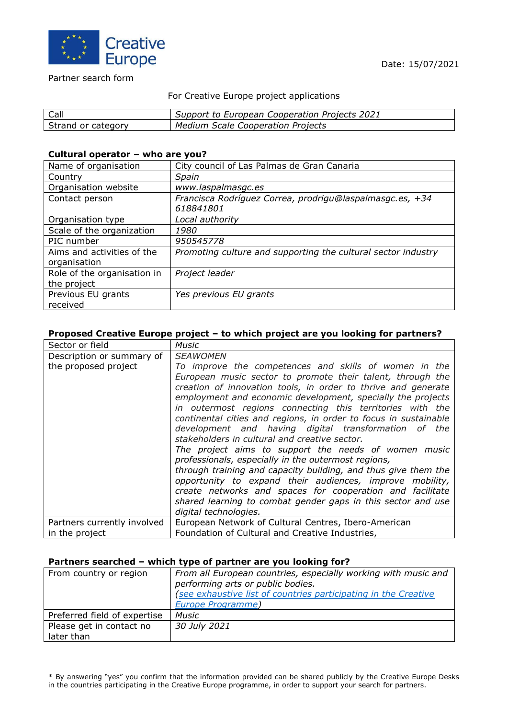

#### Partner search form

### For Creative Europe project applications

| Call               | Support to European Cooperation Projects 2021 |
|--------------------|-----------------------------------------------|
| Strand or category | <b>Medium Scale Cooperation Projects</b>      |

#### **Cultural operator – who are you?**

| Name of organisation                       | City council of Las Palmas de Gran Canaria                            |
|--------------------------------------------|-----------------------------------------------------------------------|
| Country                                    | Spain                                                                 |
| Organisation website                       | www.laspalmasgc.es                                                    |
| Contact person                             | Francisca Rodríguez Correa, prodrigu@laspalmasgc.es, +34<br>618841801 |
| Organisation type                          | Local authority                                                       |
| Scale of the organization                  | 1980                                                                  |
| PIC number                                 | 950545778                                                             |
| Aims and activities of the<br>organisation | Promoting culture and supporting the cultural sector industry         |
| Role of the organisation in                | Project leader                                                        |
| the project                                |                                                                       |
| Previous EU grants<br>received             | Yes previous EU grants                                                |

## **Proposed Creative Europe project – to which project are you looking for partners?**

| Sector or field             | <b>Music</b>                                                     |
|-----------------------------|------------------------------------------------------------------|
| Description or summary of   | <b>SEAWOMEN</b>                                                  |
| the proposed project        | To improve the competences and skills of women in the            |
|                             | European music sector to promote their talent, through the       |
|                             | creation of innovation tools, in order to thrive and generate    |
|                             | employment and economic development, specially the projects      |
|                             | in outermost regions connecting this territories with the        |
|                             | continental cities and regions, in order to focus in sustainable |
|                             | development and having digital transformation of the             |
|                             | stakeholders in cultural and creative sector.                    |
|                             | The project aims to support the needs of women music             |
|                             | professionals, especially in the outermost regions,              |
|                             | through training and capacity building, and thus give them the   |
|                             | opportunity to expand their audiences, improve mobility,         |
|                             | create networks and spaces for cooperation and facilitate        |
|                             | shared learning to combat gender gaps in this sector and use     |
|                             | digital technologies.                                            |
| Partners currently involved | European Network of Cultural Centres, Ibero-American             |
| in the project              | Foundation of Cultural and Creative Industries,                  |

### **Partners searched – which type of partner are you looking for?**

| From country or region                 | From all European countries, especially working with music and<br>performing arts or public bodies.<br>(see exhaustive list of countries participating in the Creative<br><b>Europe Programme)</b> |
|----------------------------------------|----------------------------------------------------------------------------------------------------------------------------------------------------------------------------------------------------|
| Preferred field of expertise           | <b>Music</b>                                                                                                                                                                                       |
| Please get in contact no<br>later than | 30 July 2021                                                                                                                                                                                       |